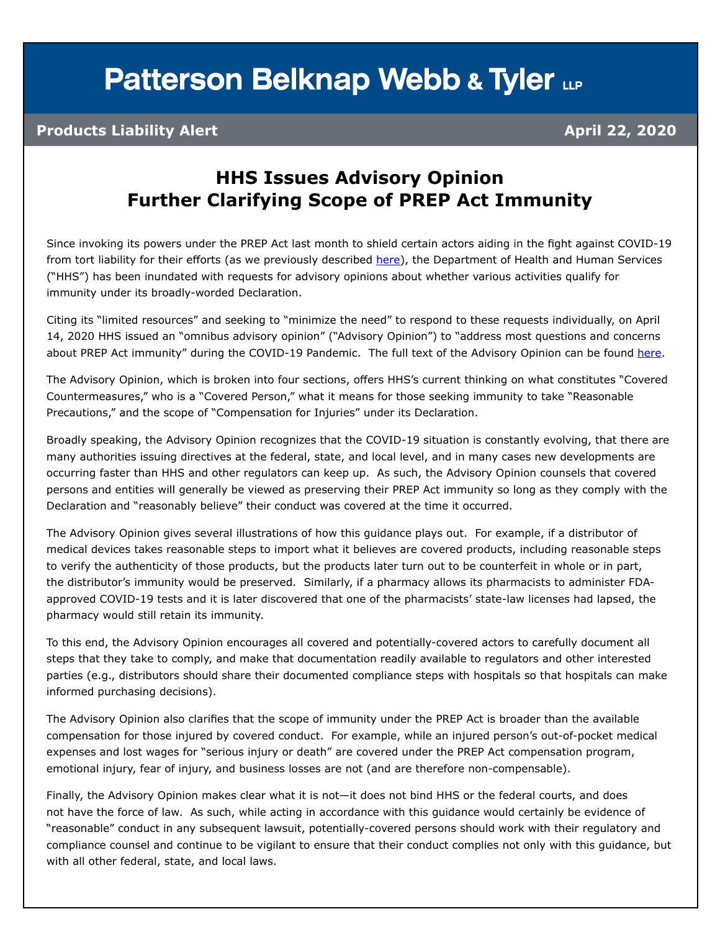# **Patterson Belknap Webb & Tyler LLP**

### **Products Liability Alert April 22, 2020**

## **HHS Issues Advisory Opinion Further Clarifying Scope of PREP Act Immunity**

Since invoking its powers under the PREP Act last month to shield certain actors aiding in the fight against COVID-19 from tort liability for their efforts (as we previously described [here](https://www.pbwt.com/publications/hhs-provides-limited-tort-immunity-to-companies-providing-pandemic-response-countermeasures-under-the-prep-act/)), the Department of Health and Human Services ("HHS") has been inundated with requests for advisory opinions about whether various activities qualify for immunity under its broadly-worded Declaration.

Citing its "limited resources" and seeking to "minimize the need" to respond to these requests individually, on April 14, 2020 HHS issued an "omnibus advisory opinion" ("Advisory Opinion") to "address most questions and concerns about PREP Act immunity" during the COVID-19 Pandemic. The full text of the Advisory Opinion can be found [here](https://www.hhs.gov/sites/default/files/prep-act-advisory-opinion-april-14-2020.pdf).

The Advisory Opinion, which is broken into four sections, offers HHS's current thinking on what constitutes "Covered Countermeasures," who is a "Covered Person," what it means for those seeking immunity to take "Reasonable Precautions," and the scope of "Compensation for Injuries" under its Declaration.

Broadly speaking, the Advisory Opinion recognizes that the COVID-19 situation is constantly evolving, that there are many authorities issuing directives at the federal, state, and local level, and in many cases new developments are occurring faster than HHS and other regulators can keep up. As such, the Advisory Opinion counsels that covered persons and entities will generally be viewed as preserving their PREP Act immunity so long as they comply with the Declaration and "reasonably believe" their conduct was covered at the time it occurred.

The Advisory Opinion gives several illustrations of how this guidance plays out. For example, if a distributor of medical devices takes reasonable steps to import what it believes are covered products, including reasonable steps to verify the authenticity of those products, but the products later turn out to be counterfeit in whole or in part, the distributor's immunity would be preserved. Similarly, if a pharmacy allows its pharmacists to administer FDAapproved COVID-19 tests and it is later discovered that one of the pharmacists' state-law licenses had lapsed, the pharmacy would still retain its immunity.

To this end, the Advisory Opinion encourages all covered and potentially-covered actors to carefully document all steps that they take to comply, and make that documentation readily available to regulators and other interested parties (e.g., distributors should share their documented compliance steps with hospitals so that hospitals can make informed purchasing decisions).

The Advisory Opinion also clarifies that the scope of immunity under the PREP Act is broader than the available compensation for those injured by covered conduct. For example, while an injured person's out-of-pocket medical expenses and lost wages for "serious injury or death" are covered under the PREP Act compensation program, emotional injury, fear of injury, and business losses are not (and are therefore non-compensable).

Finally, the Advisory Opinion makes clear what it is not—it does not bind HHS or the federal courts, and does not have the force of law. As such, while acting in accordance with this guidance would certainly be evidence of "reasonable" conduct in any subsequent lawsuit, potentially-covered persons should work with their regulatory and compliance counsel and continue to be vigilant to ensure that their conduct complies not only with this guidance, but with all other federal, state, and local laws.